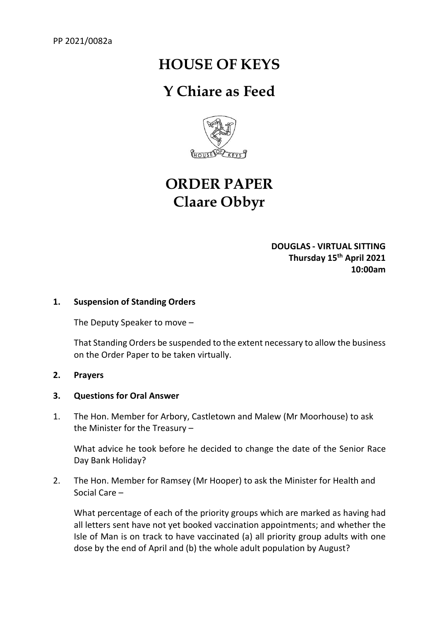# **HOUSE OF KEYS**

# **Y Chiare as Feed**



# **ORDER PAPER Claare Obbyr**

**DOUGLAS - VIRTUAL SITTING Thursday 15th April 2021 10:00am** 

### **1. Suspension of Standing Orders**

The Deputy Speaker to move –

That Standing Orders be suspended to the extent necessary to allow the business on the Order Paper to be taken virtually.

#### **2. Prayers**

#### **3. Questions for Oral Answer**

1. The Hon. Member for Arbory, Castletown and Malew (Mr Moorhouse) to ask the Minister for the Treasury –

What advice he took before he decided to change the date of the Senior Race Day Bank Holiday?

2. The Hon. Member for Ramsey (Mr Hooper) to ask the Minister for Health and Social Care –

What percentage of each of the priority groups which are marked as having had all letters sent have not yet booked vaccination appointments; and whether the Isle of Man is on track to have vaccinated (a) all priority group adults with one dose by the end of April and (b) the whole adult population by August?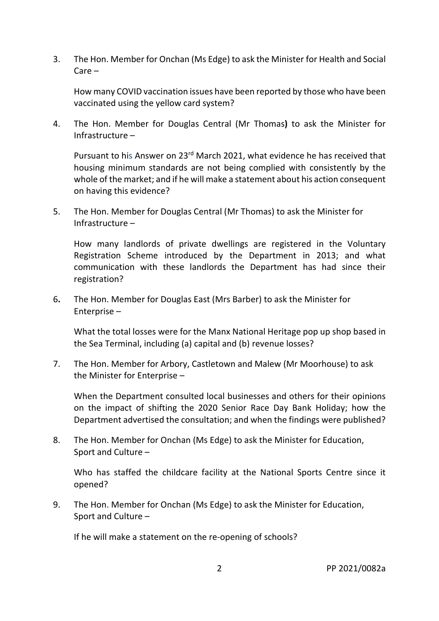3. The Hon. Member for Onchan (Ms Edge) to ask the Minister for Health and Social Care –

How many COVID vaccination issues have been reported by those who have been vaccinated using the yellow card system?

4. The Hon. Member for Douglas Central (Mr Thomas**)** to ask the Minister for Infrastructure –

Pursuant to his Answer on 23rd March 2021, what evidence he has received that housing minimum standards are not being complied with consistently by the whole of the market; and if he will make a statement about his action consequent on having this evidence?

5. The Hon. Member for Douglas Central (Mr Thomas) to ask the Minister for Infrastructure –

How many landlords of private dwellings are registered in the Voluntary Registration Scheme introduced by the Department in 2013; and what communication with these landlords the Department has had since their registration?

6**.** The Hon. Member for Douglas East (Mrs Barber) to ask the Minister for Enterprise –

What the total losses were for the Manx National Heritage pop up shop based in the Sea Terminal, including (a) capital and (b) revenue losses?

7. The Hon. Member for Arbory, Castletown and Malew (Mr Moorhouse) to ask the Minister for Enterprise –

When the Department consulted local businesses and others for their opinions on the impact of shifting the 2020 Senior Race Day Bank Holiday; how the Department advertised the consultation; and when the findings were published?

8. The Hon. Member for Onchan (Ms Edge) to ask the Minister for Education, Sport and Culture –

Who has staffed the childcare facility at the National Sports Centre since it opened?

9. The Hon. Member for Onchan (Ms Edge) to ask the Minister for Education, Sport and Culture –

If he will make a statement on the re-opening of schools?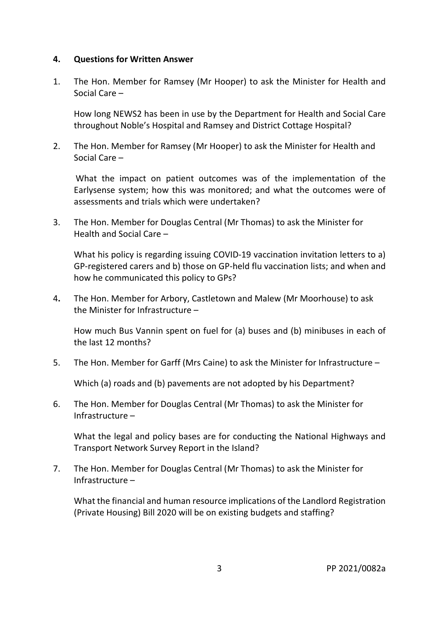#### **4. Questions for Written Answer**

1. The Hon. Member for Ramsey (Mr Hooper) to ask the Minister for Health and Social Care –

How long NEWS2 has been in use by the Department for Health and Social Care throughout Noble's Hospital and Ramsey and District Cottage Hospital?

2. The Hon. Member for Ramsey (Mr Hooper) to ask the Minister for Health and Social Care –

What the impact on patient outcomes was of the implementation of the Earlysense system; how this was monitored; and what the outcomes were of assessments and trials which were undertaken?

3. The Hon. Member for Douglas Central (Mr Thomas) to ask the Minister for Health and Social Care –

What his policy is regarding issuing COVID-19 vaccination invitation letters to a) GP-registered carers and b) those on GP-held flu vaccination lists; and when and how he communicated this policy to GPs?

4**.** The Hon. Member for Arbory, Castletown and Malew (Mr Moorhouse) to ask the Minister for Infrastructure –

How much Bus Vannin spent on fuel for (a) buses and (b) minibuses in each of the last 12 months?

5. The Hon. Member for Garff (Mrs Caine) to ask the Minister for Infrastructure –

Which (a) roads and (b) pavements are not adopted by his Department?

6. The Hon. Member for Douglas Central (Mr Thomas) to ask the Minister for Infrastructure –

What the legal and policy bases are for conducting the National Highways and Transport Network Survey Report in the Island?

7. The Hon. Member for Douglas Central (Mr Thomas) to ask the Minister for Infrastructure –

What the financial and human resource implications of the Landlord Registration (Private Housing) Bill 2020 will be on existing budgets and staffing?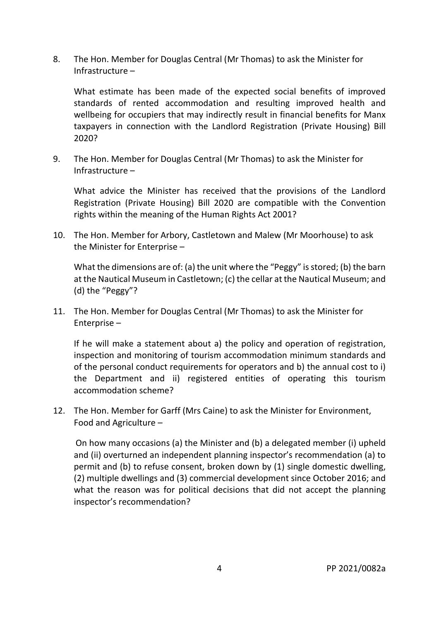8. The Hon. Member for Douglas Central (Mr Thomas) to ask the Minister for Infrastructure –

What estimate has been made of the expected social benefits of improved standards of rented accommodation and resulting improved health and wellbeing for occupiers that may indirectly result in financial benefits for Manx taxpayers in connection with the Landlord Registration (Private Housing) Bill 2020?

9. The Hon. Member for Douglas Central (Mr Thomas) to ask the Minister for Infrastructure –

What advice the Minister has received that the provisions of the Landlord Registration (Private Housing) Bill 2020 are compatible with the Convention rights within the meaning of the Human Rights Act 2001?

10. The Hon. Member for Arbory, Castletown and Malew (Mr Moorhouse) to ask the Minister for Enterprise –

What the dimensions are of: (a) the unit where the "Peggy" is stored; (b) the barn at the Nautical Museum in Castletown; (c) the cellar at the Nautical Museum; and (d) the "Peggy"?

11. The Hon. Member for Douglas Central (Mr Thomas) to ask the Minister for Enterprise –

If he will make a statement about a) the policy and operation of registration, inspection and monitoring of tourism accommodation minimum standards and of the personal conduct requirements for operators and b) the annual cost to i) the Department and ii) registered entities of operating this tourism accommodation scheme?

12. The Hon. Member for Garff (Mrs Caine) to ask the Minister for Environment, Food and Agriculture –

On how many occasions (a) the Minister and (b) a delegated member (i) upheld and (ii) overturned an independent planning inspector's recommendation (a) to permit and (b) to refuse consent, broken down by (1) single domestic dwelling, (2) multiple dwellings and (3) commercial development since October 2016; and what the reason was for political decisions that did not accept the planning inspector's recommendation?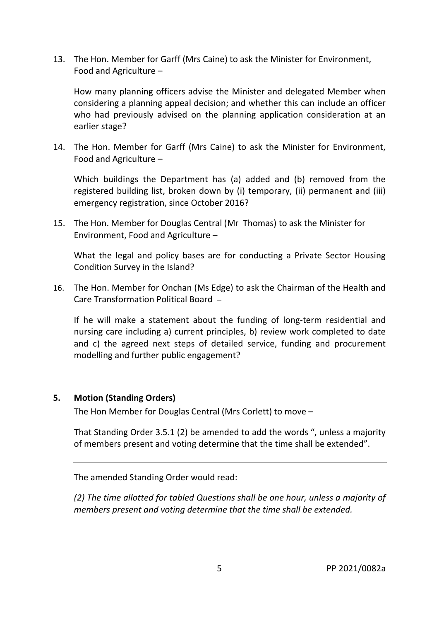13. The Hon. Member for Garff (Mrs Caine) to ask the Minister for Environment, Food and Agriculture –

How many planning officers advise the Minister and delegated Member when considering a planning appeal decision; and whether this can include an officer who had previously advised on the planning application consideration at an earlier stage?

14. The Hon. Member for Garff (Mrs Caine) to ask the Minister for Environment, Food and Agriculture –

Which buildings the Department has (a) added and (b) removed from the registered building list, broken down by (i) temporary, (ii) permanent and (iii) emergency registration, since October 2016?

15. The Hon. Member for Douglas Central (Mr Thomas) to ask the Minister for Environment, Food and Agriculture –

What the legal and policy bases are for conducting a Private Sector Housing Condition Survey in the Island?

16. The Hon. Member for Onchan (Ms Edge) to ask the Chairman of the Health and Care Transformation Political Board –

If he will make a statement about the funding of long-term residential and nursing care including a) current principles, b) review work completed to date and c) the agreed next steps of detailed service, funding and procurement modelling and further public engagement?

#### **5. Motion (Standing Orders)**

The Hon Member for Douglas Central (Mrs Corlett) to move –

That Standing Order 3.5.1 (2) be amended to add the words ", unless a majority of members present and voting determine that the time shall be extended".

The amended Standing Order would read:

*(2) The time allotted for tabled Questions shall be one hour, unless a majority of members present and voting determine that the time shall be extended.*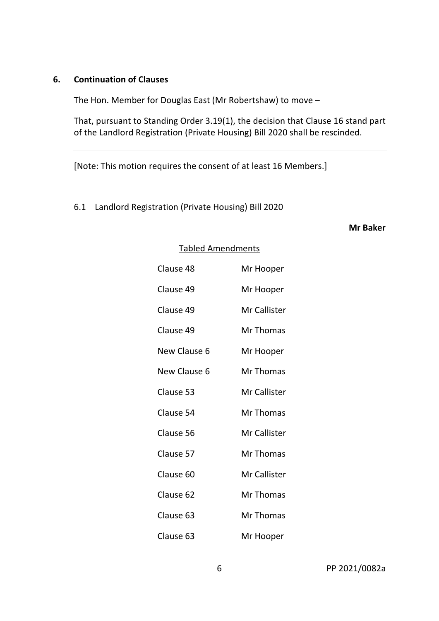#### **6. Continuation of Clauses**

The Hon. Member for Douglas East (Mr Robertshaw) to move –

That, pursuant to Standing Order 3.19(1), the decision that Clause 16 stand part of the Landlord Registration (Private Housing) Bill 2020 shall be rescinded.

[Note: This motion requires the consent of at least 16 Members.]

6.1 Landlord Registration (Private Housing) Bill 2020

#### **Mr Baker**

| Clause 48    | Mr Hooper    |
|--------------|--------------|
| Clause 49    | Mr Hooper    |
| Clause 49    | Mr Callister |
| Clause 49    | Mr Thomas    |
| New Clause 6 | Mr Hooper    |
| New Clause 6 | Mr Thomas    |
| Clause 53    | Mr Callister |
| Clause 54    | Mr Thomas    |
| Clause 56    | Mr Callister |
| Clause 57    | Mr Thomas    |
| Clause 60    | Mr Callister |
| Clause 62    | Mr Thomas    |
| Clause 63    | Mr Thomas    |
| Clause 63    | Mr Hooper    |

#### Tabled Amendments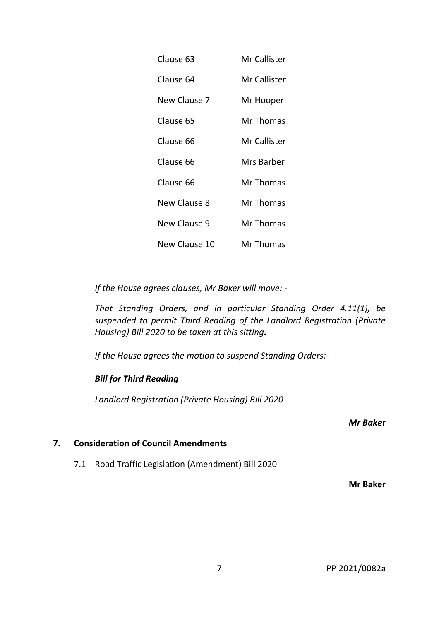| Clause 63           | Mr Callister |
|---------------------|--------------|
| Clause 64           | Mr Callister |
| New Clause 7        | Mr Hooper    |
| Clause 65           | Mr Thomas    |
| Clause 66           | Mr Callister |
| Clause 66           | Mrs Barber   |
| Clause 66           | Mr Thomas    |
| <b>New Clause 8</b> | Mr Thomas    |
| <b>New Clause 9</b> | Mr Thomas    |
| New Clause 10       | Mr Thomas    |

 *If the House agrees clauses, Mr Baker will move: -* 

*That Standing Orders, and in particular Standing Order 4.11(1), be suspended to permit Third Reading of the Landlord Registration (Private Housing) Bill 2020 to be taken at this sitting.* 

 *If the House agrees the motion to suspend Standing Orders:-* 

#### *Bill for Third Reading*

*Landlord Registration (Private Housing) Bill 2020* 

*Mr Bake***r** 

### **7. Consideration of Council Amendments**

7.1 Road Traffic Legislation (Amendment) Bill 2020

**Mr Baker**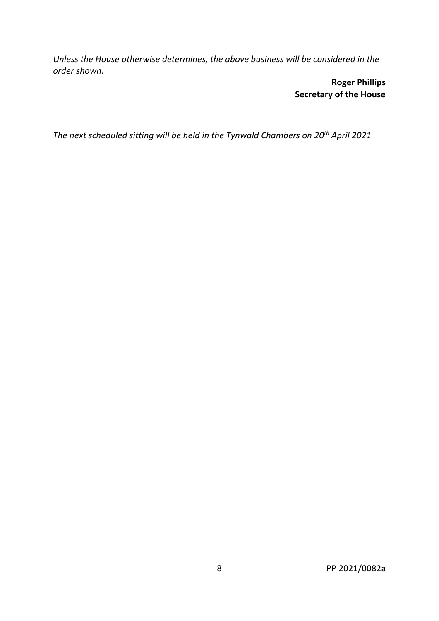*Unless the House otherwise determines, the above business will be considered in the order shown.*

> **Roger Phillips Secretary of the House**

*The next scheduled sitting will be held in the Tynwald Chambers on 20th April 2021*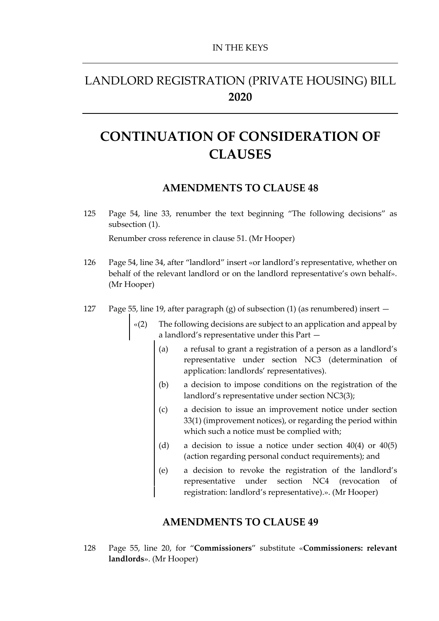# LANDLORD REGISTRATION (PRIVATE HOUSING) BILL **2020**

# **CONTINUATION OF CONSIDERATION OF CLAUSES**

### **AMENDMENTS TO CLAUSE 48**

125 Page 54, line 33, renumber the text beginning "The following decisions" as subsection (1).

Renumber cross reference in clause 51. (Mr Hooper)

- 126 Page 54, line 34, after "landlord" insert «or landlord's representative, whether on behalf of the relevant landlord or on the landlord representative's own behalf». (Mr Hooper)
- 127 Page 55, line 19, after paragraph (g) of subsection (1) (as renumbered) insert
	- «(2) The following decisions are subject to an application and appeal by a landlord's representative under this Part —
		- (a) a refusal to grant a registration of a person as a landlord's representative under section NC3 (determination of application: landlords' representatives).
		- (b) a decision to impose conditions on the registration of the landlord's representative under section NC3(3);
		- (c) a decision to issue an improvement notice under section 33(1) (improvement notices), or regarding the period within which such a notice must be complied with;
		- (d) a decision to issue a notice under section 40(4) or 40(5) (action regarding personal conduct requirements); and
		- (e) a decision to revoke the registration of the landlord's representative under section NC4 (revocation of registration: landlord's representative).». (Mr Hooper)

# **AMENDMENTS TO CLAUSE 49**

128 Page 55, line 20, for "**Commissioners**" substitute «**Commissioners: relevant landlords**». (Mr Hooper)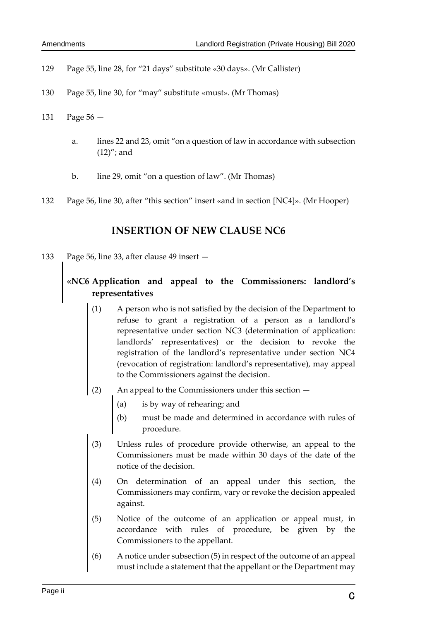- 129 Page 55, line 28, for "21 days" substitute «30 days». (Mr Callister)
- 130 Page 55, line 30, for "may" substitute «must». (Mr Thomas)
- 131 Page 56
	- a. lines 22 and 23, omit "on a question of law in accordance with subsection (12)"; and
	- b. line 29, omit "on a question of law". (Mr Thomas)
- 132 Page 56, line 30, after "this section" insert «and in section [NC4]». (Mr Hooper)

### **INSERTION OF NEW CLAUSE NC6**

133 Page 56, line 33, after clause 49 insert —

# **«NC6 Application and appeal to the Commissioners: landlord's representatives**

- (1) A person who is not satisfied by the decision of the Department to refuse to grant a registration of a person as a landlord's representative under section NC3 (determination of application: landlords' representatives) or the decision to revoke the registration of the landlord's representative under section NC4 (revocation of registration: landlord's representative), may appeal to the Commissioners against the decision.
- (2) An appeal to the Commissioners under this section
	- (a) is by way of rehearing; and
	- (b) must be made and determined in accordance with rules of procedure.
- (3) Unless rules of procedure provide otherwise, an appeal to the Commissioners must be made within 30 days of the date of the notice of the decision.
- (4) On determination of an appeal under this section, the Commissioners may confirm, vary or revoke the decision appealed against.
- (5) Notice of the outcome of an application or appeal must, in accordance with rules of procedure, be given by the Commissioners to the appellant.
- (6) A notice under subsection (5) in respect of the outcome of an appeal must include a statement that the appellant or the Department may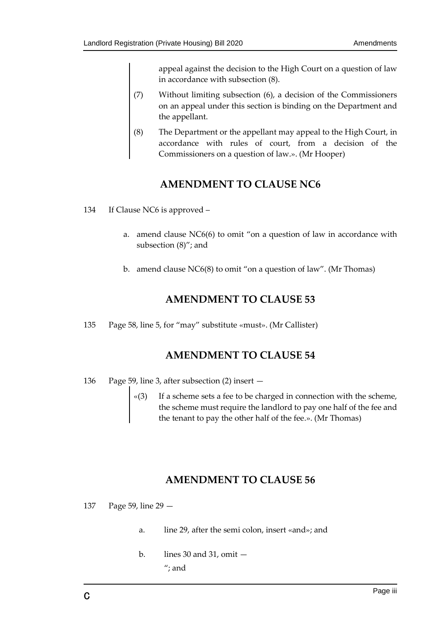appeal against the decision to the High Court on a question of law in accordance with subsection (8).

- (7) Without limiting subsection (6), a decision of the Commissioners on an appeal under this section is binding on the Department and the appellant.
- (8) The Department or the appellant may appeal to the High Court, in accordance with rules of court, from a decision of the Commissioners on a question of law.». (Mr Hooper)

## **AMENDMENT TO CLAUSE NC6**

- 134 If Clause NC6 is approved
	- a. amend clause NC6(6) to omit "on a question of law in accordance with subsection (8)"; and
	- b. amend clause NC6(8) to omit "on a question of law". (Mr Thomas)

## **AMENDMENT TO CLAUSE 53**

135 Page 58, line 5, for "may" substitute «must». (Mr Callister)

### **AMENDMENT TO CLAUSE 54**

- 136 Page 59, line 3, after subsection (2) insert
	- «(3) If a scheme sets a fee to be charged in connection with the scheme, the scheme must require the landlord to pay one half of the fee and the tenant to pay the other half of the fee.». (Mr Thomas)

# **AMENDMENT TO CLAUSE 56**

- 137 Page 59, line 29
	- a. line 29, after the semi colon, insert «and»; and
	- b. lines 30 and 31, omit "; and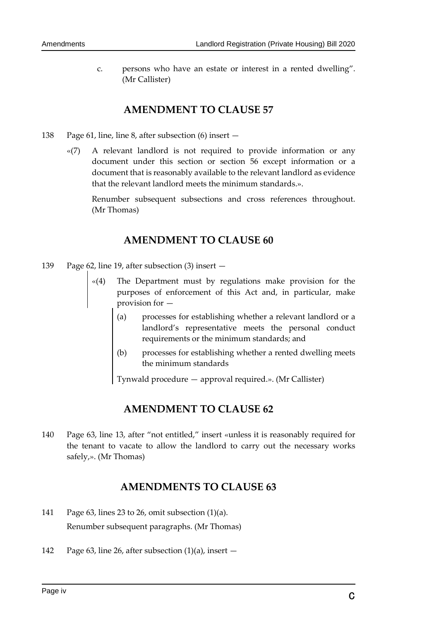c. persons who have an estate or interest in a rented dwelling". (Mr Callister)

## **AMENDMENT TO CLAUSE 57**

- 138 Page 61, line, line 8, after subsection (6) insert
	- «(7) A relevant landlord is not required to provide information or any document under this section or section 56 except information or a document that is reasonably available to the relevant landlord as evidence that the relevant landlord meets the minimum standards.».

Renumber subsequent subsections and cross references throughout. (Mr Thomas)

# **AMENDMENT TO CLAUSE 60**

- 139 Page 62, line 19, after subsection (3) insert
	- The Department must by regulations make provision for the purposes of enforcement of this Act and, in particular, make provision for —
		- (a) processes for establishing whether a relevant landlord or a landlord's representative meets the personal conduct requirements or the minimum standards; and
		- (b) processes for establishing whether a rented dwelling meets the minimum standards

Tynwald procedure — approval required.». (Mr Callister)

# **AMENDMENT TO CLAUSE 62**

140 Page 63, line 13, after "not entitled," insert «unless it is reasonably required for the tenant to vacate to allow the landlord to carry out the necessary works safely,». (Mr Thomas)

# **AMENDMENTS TO CLAUSE 63**

- 141 Page 63, lines 23 to 26, omit subsection (1)(a). Renumber subsequent paragraphs. (Mr Thomas)
- 142 Page 63, line 26, after subsection (1)(a), insert —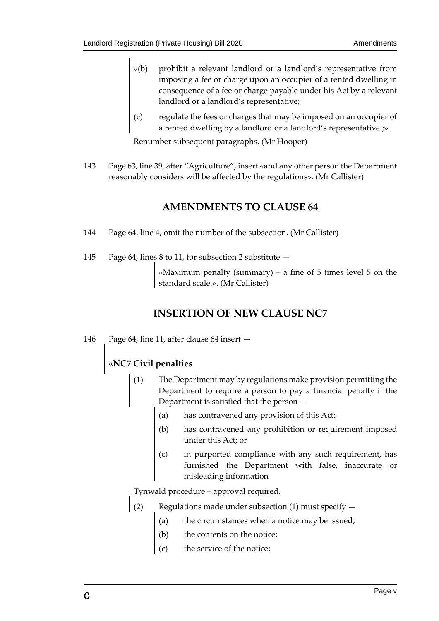- «(b) prohibit a relevant landlord or a landlord's representative from imposing a fee or charge upon an occupier of a rented dwelling in consequence of a fee or charge payable under his Act by a relevant landlord or a landlord's representative;
- (c) regulate the fees or charges that may be imposed on an occupier of a rented dwelling by a landlord or a landlord's representative  $\gg$ .

Renumber subsequent paragraphs. (Mr Hooper)

143 Page 63, line 39, after "Agriculture", insert «and any other person the Department reasonably considers will be affected by the regulations». (Mr Callister)

# **AMENDMENTS TO CLAUSE 64**

- 144 Page 64, line 4, omit the number of the subsection. (Mr Callister)
- 145 Page 64, lines 8 to 11, for subsection 2 substitute —

«Maximum penalty (summary) – a fine of  $5$  times level  $5$  on the standard scale.». (Mr Callister)

# **INSERTION OF NEW CLAUSE NC7**

146 Page 64, line 11, after clause 64 insert —

### **«NC7 Civil penalties**

- (1) The Department may by regulations make provision permitting the Department to require a person to pay a financial penalty if the Department is satisfied that the person —
	- (a) has contravened any provision of this Act;
	- (b) has contravened any prohibition or requirement imposed under this Act; or
	- (c) in purported compliance with any such requirement, has furnished the Department with false, inaccurate or misleading information

Tynwald procedure – approval required.

- (2) Regulations made under subsection (1) must specify  $$ 
	- the circumstances when a notice may be issued;
	- the contents on the notice;
	- the service of the notice;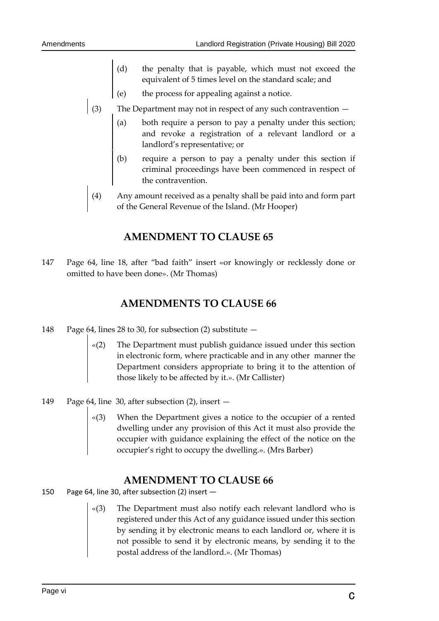- the penalty that is payable, which must not exceed the equivalent of 5 times level on the standard scale; and
- the process for appealing against a notice.
- 
- (3) The Department may not in respect of any such contravention  $-$  (a) both require a person to pay a penalty under this section and revoke a registration of a relevant landlord or landlord's representative; or both require a person to pay a penalty under this section; and revoke a registration of a relevant landlord or a landlord's representative; or
	- (b) require a person to pay a penalty under this section if criminal proceedings have been commenced in respect of the contravention.
	- (4) Any amount received as a penalty shall be paid into and form part of the General Revenue of the Island. (Mr Hooper)

### **AMENDMENT TO CLAUSE 65**

147 Page 64, line 18, after "bad faith" insert «or knowingly or recklessly done or omitted to have been done». (Mr Thomas)

### **AMENDMENTS TO CLAUSE 66**

- 148 Page 64, lines 28 to 30, for subsection (2) substitute
	- The Department must publish guidance issued under this section in electronic form, where practicable and in any other manner the Department considers appropriate to bring it to the attention of those likely to be affected by it.». (Mr Callister)
- 149 Page 64, line 30, after subsection (2), insert
	- When the Department gives a notice to the occupier of a rented dwelling under any provision of this Act it must also provide the occupier with guidance explaining the effect of the notice on the occupier's right to occupy the dwelling.». (Mrs Barber)

### **AMENDMENT TO CLAUSE 66**

- 150 Page 64, line 30, after subsection (2) insert
	- The Department must also notify each relevant landlord who is registered under this Act of any guidance issued under this section by sending it by electronic means to each landlord or, where it is not possible to send it by electronic means, by sending it to the postal address of the landlord.». (Mr Thomas)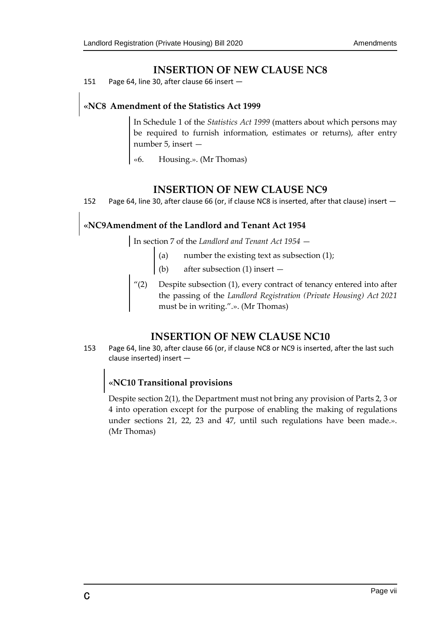### **INSERTION OF NEW CLAUSE NC8**

151 Page 64, line 30, after clause 66 insert —

## **«NC8 Amendment of the Statistics Act 1999**

In Schedule 1 of the *Statistics Act 1999* (matters about which persons may be required to furnish information, estimates or returns), after entry number 5, insert —

Housing.». (Mr Thomas)

### **INSERTION OF NEW CLAUSE NC9**

152 Page 64, line 30, after clause 66 (or, if clause NC8 is inserted, after that clause) insert -

# **«NC9Amendment of the Landlord and Tenant Act 1954**

In section 7 of the *Landlord and Tenant Act 1954* —

- (a) number the existing text as subsection (1);
- (b) after subsection (1) insert —
- "(2) Despite subsection (1), every contract of tenancy entered into after the passing of the *Landlord Registration (Private Housing) Act 2021* must be in writing.".». (Mr Thomas)

### **INSERTION OF NEW CLAUSE NC10**

153 Page 64, line 30, after clause 66 (or, if clause NC8 or NC9 is inserted, after the last such clause inserted) insert —

## **«NC10 Transitional provisions**

Despite section 2(1), the Department must not bring any provision of Parts 2, 3 or 4 into operation except for the purpose of enabling the making of regulations under sections 21, 22, 23 and 47, until such regulations have been made.». (Mr Thomas)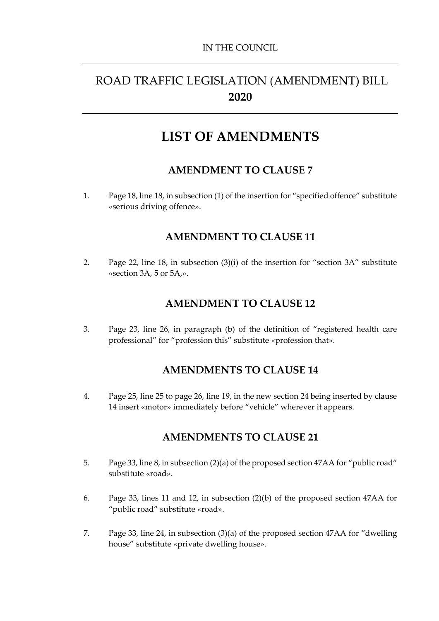# ROAD TRAFFIC LEGISLATION (AMENDMENT) BILL **2020**

# **LIST OF AMENDMENTS**

## **AMENDMENT TO CLAUSE 7**

1. Page 18, line 18, in subsection (1) of the insertion for "specified offence" substitute «serious driving offence».

## **AMENDMENT TO CLAUSE 11**

2. Page 22, line 18, in subsection (3)(i) of the insertion for "section 3A" substitute «section 3A, 5 or 5A,».

## **AMENDMENT TO CLAUSE 12**

3. Page 23, line 26, in paragraph (b) of the definition of "registered health care professional" for "profession this" substitute «profession that».

### **AMENDMENTS TO CLAUSE 14**

4. Page 25, line 25 to page 26, line 19, in the new section 24 being inserted by clause 14 insert «motor» immediately before "vehicle" wherever it appears.

### **AMENDMENTS TO CLAUSE 21**

- 5. Page 33, line 8, in subsection (2)(a) of the proposed section 47AA for "public road" substitute «road».
- 6. Page 33, lines 11 and 12, in subsection (2)(b) of the proposed section 47AA for "public road" substitute «road».
- 7. Page 33, line 24, in subsection (3)(a) of the proposed section 47AA for "dwelling house" substitute «private dwelling house».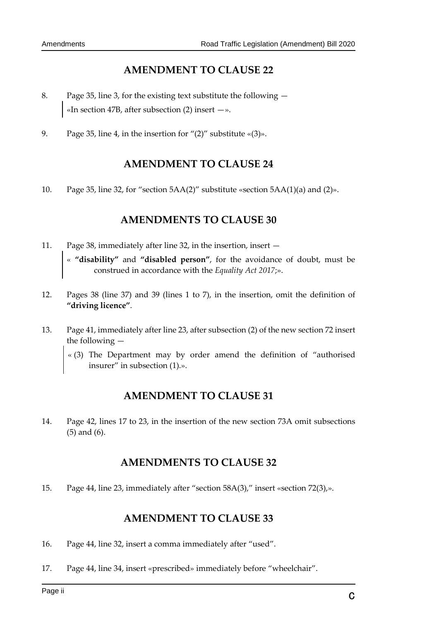# **AMENDMENT TO CLAUSE 22**

- 8. Page 35, line 3, for the existing text substitute the following «In section 47B, after subsection  $(2)$  insert  $-\infty$ .
- 9. Page 35, line 4, in the insertion for " $(2)$ " substitute « $(3)$ ».

## **AMENDMENT TO CLAUSE 24**

10. Page 35, line 32, for "section 5AA(2)" substitute «section 5AA(1)(a) and (2)».

# **AMENDMENTS TO CLAUSE 30**

- 11. Page 38, immediately after line 32, in the insertion, insert « **"disability"** and **"disabled person"**, for the avoidance of doubt, must be construed in accordance with the *Equality Act 2017*;».
- 12. Pages 38 (line 37) and 39 (lines 1 to 7), in the insertion, omit the definition of **"driving licence"**.
- 13. Page 41, immediately after line 23, after subsection (2) of the new section 72 insert the following —
	- « (3) The Department may by order amend the definition of "authorised insurer" in subsection (1).».

# **AMENDMENT TO CLAUSE 31**

14. Page 42, lines 17 to 23, in the insertion of the new section 73A omit subsections (5) and (6).

# **AMENDMENTS TO CLAUSE 32**

15. Page 44, line 23, immediately after "section 58A(3)," insert «section 72(3),».

### **AMENDMENT TO CLAUSE 33**

- 16. Page 44, line 32, insert a comma immediately after "used".
- 17. Page 44, line 34, insert «prescribed» immediately before "wheelchair".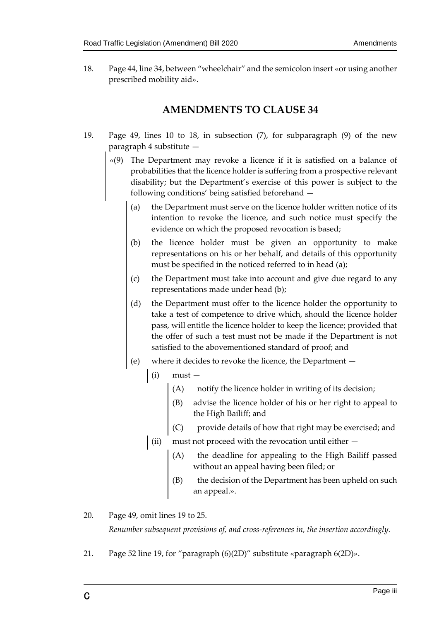18. Page 44, line 34, between "wheelchair" and the semicolon insert «or using another prescribed mobility aid».

### **AMENDMENTS TO CLAUSE 34**

- 19. Page 49, lines 10 to 18, in subsection (7), for subparagraph (9) of the new paragraph 4 substitute —
	- «(9) The Department may revoke a licence if it is satisfied on a balance of probabilities that the licence holder is suffering from a prospective relevant disability; but the Department's exercise of this power is subject to the following conditions' being satisfied beforehand —
		- (a) the Department must serve on the licence holder written notice of its intention to revoke the licence, and such notice must specify the evidence on which the proposed revocation is based;
		- (b) the licence holder must be given an opportunity to make representations on his or her behalf, and details of this opportunity must be specified in the noticed referred to in head (a);
		- (c) the Department must take into account and give due regard to any representations made under head (b);
		- (d) the Department must offer to the licence holder the opportunity to take a test of competence to drive which, should the licence holder pass, will entitle the licence holder to keep the licence; provided that the offer of such a test must not be made if the Department is not satisfied to the abovementioned standard of proof; and
		- (e) where it decides to revoke the licence, the Department
			- $(i)$  must  $-$ 
				- (A) notify the licence holder in writing of its decision;
				- (B) advise the licence holder of his or her right to appeal to the High Bailiff; and
				- (C) provide details of how that right may be exercised; and
			- (ii) must not proceed with the revocation until either  $-$ 
				- (A) the deadline for appealing to the High Bailiff passed without an appeal having been filed; or
				- the decision of the Department has been upheld on such an appeal.».
- 20. Page 49, omit lines 19 to 25.

*Renumber subsequent provisions of, and cross-references in, the insertion accordingly.* 

21. Page 52 line 19, for "paragraph (6)(2D)" substitute «paragraph 6(2D)».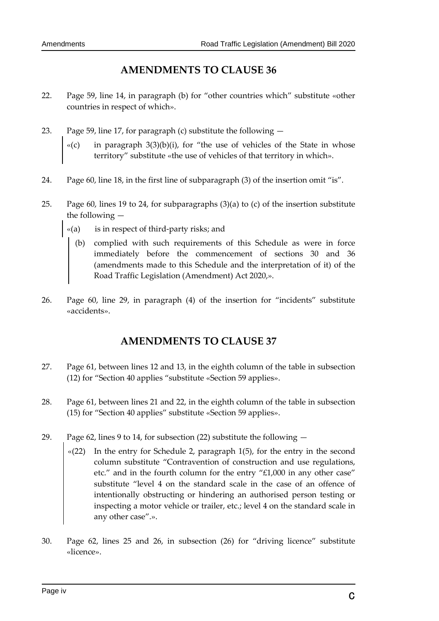# **AMENDMENTS TO CLAUSE 36**

- 22. Page 59, line 14, in paragraph (b) for "other countries which" substitute «other countries in respect of which».
- 23. Page 59, line 17, for paragraph (c) substitute the following
	- $\mathcal{A}(c)$  in paragraph 3(3)(b)(i), for "the use of vehicles of the State in whose territory" substitute «the use of vehicles of that territory in which».
- 24. Page 60, line 18, in the first line of subparagraph (3) of the insertion omit "is".
- 25. Page 60, lines 19 to 24, for subparagraphs (3)(a) to (c) of the insertion substitute the following —
	- «(a) is in respect of third-party risks; and
		- (b) complied with such requirements of this Schedule as were in force immediately before the commencement of sections 30 and 36 (amendments made to this Schedule and the interpretation of it) of the Road Traffic Legislation (Amendment) Act 2020,».
- 26. Page 60, line 29, in paragraph (4) of the insertion for "incidents" substitute «accidents».

# **AMENDMENTS TO CLAUSE 37**

- 27. Page 61, between lines 12 and 13, in the eighth column of the table in subsection (12) for "Section 40 applies "substitute «Section 59 applies».
- 28. Page 61, between lines 21 and 22, in the eighth column of the table in subsection (15) for "Section 40 applies" substitute «Section 59 applies».
- 29. Page 62, lines 9 to 14, for subsection (22) substitute the following
	- «(22) In the entry for Schedule 2, paragraph 1(5), for the entry in the second column substitute "Contravention of construction and use regulations, etc." and in the fourth column for the entry "£1,000 in any other case" substitute "level 4 on the standard scale in the case of an offence of intentionally obstructing or hindering an authorised person testing or inspecting a motor vehicle or trailer, etc.; level 4 on the standard scale in any other case".».
- 30. Page 62, lines 25 and 26, in subsection (26) for "driving licence" substitute «licence».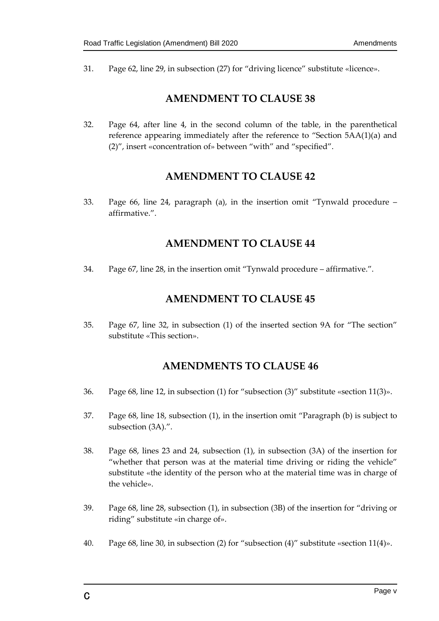31. Page 62, line 29, in subsection (27) for "driving licence" substitute «licence».

## **AMENDMENT TO CLAUSE 38**

32. Page 64, after line 4, in the second column of the table, in the parenthetical reference appearing immediately after the reference to "Section 5AA(1)(a) and (2)", insert «concentration of» between "with" and "specified".

## **AMENDMENT TO CLAUSE 42**

33. Page 66, line 24, paragraph (a), in the insertion omit "Tynwald procedure – affirmative.".

## **AMENDMENT TO CLAUSE 44**

34. Page 67, line 28, in the insertion omit "Tynwald procedure – affirmative.".

## **AMENDMENT TO CLAUSE 45**

35. Page 67, line 32, in subsection (1) of the inserted section 9A for "The section" substitute «This section».

# **AMENDMENTS TO CLAUSE 46**

- 36. Page 68, line 12, in subsection (1) for "subsection (3)" substitute «section 11(3)».
- 37. Page 68, line 18, subsection (1), in the insertion omit "Paragraph (b) is subject to subsection (3A).".
- 38. Page 68, lines 23 and 24, subsection (1), in subsection (3A) of the insertion for "whether that person was at the material time driving or riding the vehicle" substitute «the identity of the person who at the material time was in charge of the vehicle».
- 39. Page 68, line 28, subsection (1), in subsection (3B) of the insertion for "driving or riding" substitute «in charge of».
- 40. Page 68, line 30, in subsection (2) for "subsection (4)" substitute «section 11(4)».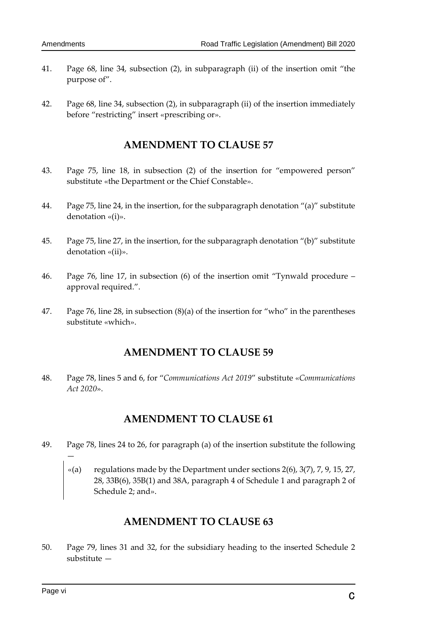- 41. Page 68, line 34, subsection (2), in subparagraph (ii) of the insertion omit "the purpose of".
- 42. Page 68, line 34, subsection (2), in subparagraph (ii) of the insertion immediately before "restricting" insert «prescribing or».

## **AMENDMENT TO CLAUSE 57**

- 43. Page 75, line 18, in subsection (2) of the insertion for "empowered person" substitute «the Department or the Chief Constable».
- 44. Page 75, line 24, in the insertion, for the subparagraph denotation "(a)" substitute denotation «(i)».
- 45. Page 75, line 27, in the insertion, for the subparagraph denotation "(b)" substitute denotation «(ii)».
- 46. Page 76, line 17, in subsection (6) of the insertion omit "Tynwald procedure approval required.".
- 47. Page 76, line 28, in subsection (8)(a) of the insertion for "who" in the parentheses substitute «which».

### **AMENDMENT TO CLAUSE 59**

48. Page 78, lines 5 and 6, for "*Communications Act 2019*" substitute «*Communications Act 2020*».

### **AMENDMENT TO CLAUSE 61**

- 49. Page 78, lines 24 to 26, for paragraph (a) of the insertion substitute the following
	- «(a) regulations made by the Department under sections  $2(6)$ ,  $3(7)$ ,  $7$ ,  $9$ ,  $15$ ,  $27$ , 28, 33B(6), 35B(1) and 38A, paragraph 4 of Schedule 1 and paragraph 2 of Schedule 2; and».

# **AMENDMENT TO CLAUSE 63**

50. Page 79, lines 31 and 32, for the subsidiary heading to the inserted Schedule 2 substitute —

—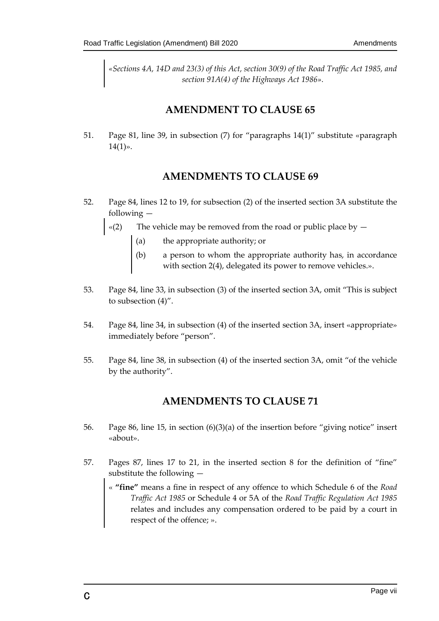*«Sections 4A, 14D and 23(3) of this Act, section 30(9) of the Road Traffic Act 1985, and section 91A(4) of the Highways Act 1986».* 

### **AMENDMENT TO CLAUSE 65**

51. Page 81, line 39, in subsection (7) for "paragraphs 14(1)" substitute «paragraph  $14(1)$ ».

## **AMENDMENTS TO CLAUSE 69**

- 52. Page 84, lines 12 to 19, for subsection (2) of the inserted section 3A substitute the following —
	- $\mathcal{L}(2)$  The vehicle may be removed from the road or public place by  $$ 
		- the appropriate authority; or
		- (b) a person to whom the appropriate authority has, in accordance with section 2(4), delegated its power to remove vehicles.».
- 53. Page 84, line 33, in subsection (3) of the inserted section 3A, omit "This is subject to subsection (4)".
- 54. Page 84, line 34, in subsection (4) of the inserted section 3A, insert «appropriate» immediately before "person".
- 55. Page 84, line 38, in subsection (4) of the inserted section 3A, omit "of the vehicle by the authority".

# **AMENDMENTS TO CLAUSE 71**

- 56. Page 86, line 15, in section (6)(3)(a) of the insertion before "giving notice" insert «about».
- 57. Pages 87, lines 17 to 21, in the inserted section 8 for the definition of "fine" substitute the following —
	- « **"fine"** means a fine in respect of any offence to which Schedule 6 of the *Road Traffic Act 1985* or Schedule 4 or 5A of the *Road Traffic Regulation Act 1985* relates and includes any compensation ordered to be paid by a court in respect of the offence; ».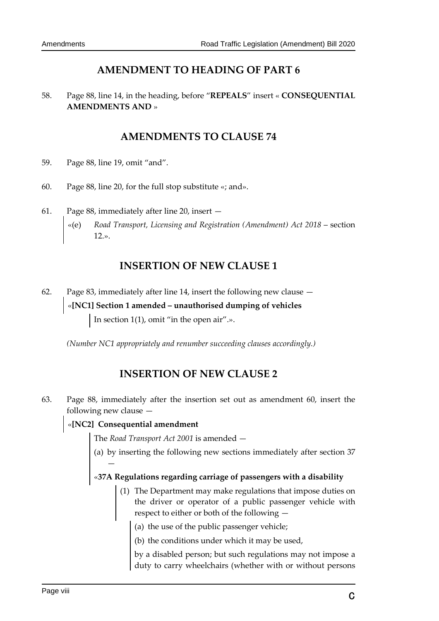# **AMENDMENT TO HEADING OF PART 6**

58. Page 88, line 14, in the heading, before "**REPEALS**" insert « **CONSEQUENTIAL AMENDMENTS AND** »

# **AMENDMENTS TO CLAUSE 74**

- 59. Page 88, line 19, omit "and".
- 60. Page 88, line 20, for the full stop substitute «; and».
- 61. Page 88, immediately after line 20, insert
	- «(e) *Road Transport, Licensing and Registration (Amendment) Act 2018*  section 12.».

## **INSERTION OF NEW CLAUSE 1**

62. Page 83, immediately after line 14, insert the following new clause — «**[NC1] Section 1 amended – unauthorised dumping of vehicles** In section 1(1), omit "in the open air".».

*(Number NC1 appropriately and renumber succeeding clauses accordingly.)* 

# **INSERTION OF NEW CLAUSE 2**

63. Page 88, immediately after the insertion set out as amendment 60, insert the following new clause —

### «**[NC2] Consequential amendment**

—

The *Road Transport Act 2001* is amended —

(a) by inserting the following new sections immediately after section 37

# «**37A Regulations regarding carriage of passengers with a disability**

- (1) The Department may make regulations that impose duties on the driver or operator of a public passenger vehicle with respect to either or both of the following —
	- (a) the use of the public passenger vehicle;
	- (b) the conditions under which it may be used,

by a disabled person; but such regulations may not impose a duty to carry wheelchairs (whether with or without persons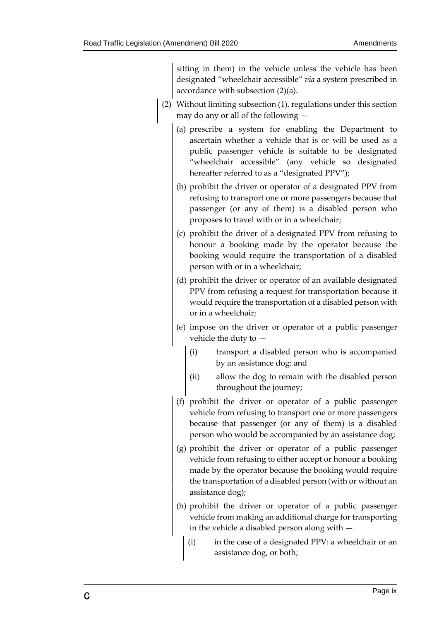sitting in them) in the vehicle unless the vehicle has been designated "wheelchair accessible" *via* a system prescribed in accordance with subsection (2)(a).

- (2) Without limiting subsection (1), regulations under this section may do any or all of the following —
	- (a) prescribe a system for enabling the Department to ascertain whether a vehicle that is or will be used as a public passenger vehicle is suitable to be designated "wheelchair accessible" (any vehicle so designated hereafter referred to as a "designated PPV");
	- (b) prohibit the driver or operator of a designated PPV from refusing to transport one or more passengers because that passenger (or any of them) is a disabled person who proposes to travel with or in a wheelchair;
	- (c) prohibit the driver of a designated PPV from refusing to honour a booking made by the operator because the booking would require the transportation of a disabled person with or in a wheelchair;
	- (d) prohibit the driver or operator of an available designated PPV from refusing a request for transportation because it would require the transportation of a disabled person with or in a wheelchair;
	- (e) impose on the driver or operator of a public passenger vehicle the duty to —
		- (i) transport a disabled person who is accompanied by an assistance dog; and
		- (ii) allow the dog to remain with the disabled person throughout the journey;
	- (f) prohibit the driver or operator of a public passenger vehicle from refusing to transport one or more passengers because that passenger (or any of them) is a disabled person who would be accompanied by an assistance dog;
	- (g) prohibit the driver or operator of a public passenger vehicle from refusing to either accept or honour a booking made by the operator because the booking would require the transportation of a disabled person (with or without an assistance dog);
	- (h) prohibit the driver or operator of a public passenger vehicle from making an additional charge for transporting in the vehicle a disabled person along with —
		- (i) in the case of a designated PPV: a wheelchair or an assistance dog, or both;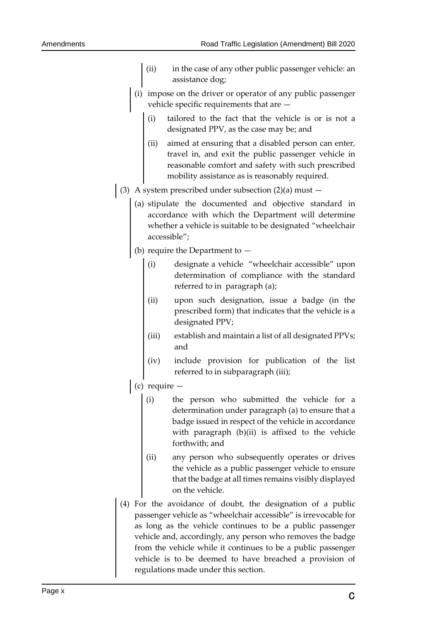- (ii) in the case of any other public passenger vehicle: an assistance dog;
- (i) impose on the driver or operator of any public passenger vehicle specific requirements that are —
	- (i) tailored to the fact that the vehicle is or is not a designated PPV, as the case may be; and
	- (ii) aimed at ensuring that a disabled person can enter, travel in, and exit the public passenger vehicle in reasonable comfort and safety with such prescribed mobility assistance as is reasonably required.
- (3) A system prescribed under subsection  $(2)(a)$  must  $-$ 
	- (a) stipulate the documented and objective standard in accordance with which the Department will determine whether a vehicle is suitable to be designated "wheelchair accessible";
	- (b) require the Department to
		- (i) designate a vehicle "wheelchair accessible" upon determination of compliance with the standard referred to in paragraph (a);
		- (ii) upon such designation, issue a badge (in the prescribed form) that indicates that the vehicle is a designated PPV;
		- (iii) establish and maintain a list of all designated PPVs; and
		- (iv) include provision for publication of the list referred to in subparagraph (iii);
	- $(c)$  require  $-$ 
		- (i) the person who submitted the vehicle for a determination under paragraph (a) to ensure that a badge issued in respect of the vehicle in accordance with paragraph (b)(ii) is affixed to the vehicle forthwith; and
		- (ii) any person who subsequently operates or drives the vehicle as a public passenger vehicle to ensure that the badge at all times remains visibly displayed on the vehicle.
- (4) For the avoidance of doubt, the designation of a public passenger vehicle as "wheelchair accessible" is irrevocable for as long as the vehicle continues to be a public passenger vehicle and, accordingly, any person who removes the badge from the vehicle while it continues to be a public passenger vehicle is to be deemed to have breached a provision of regulations made under this section.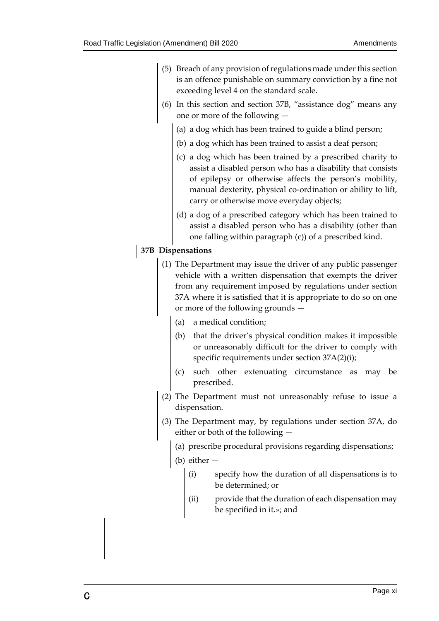- (5) Breach of any provision of regulations made under this section is an offence punishable on summary conviction by a fine not exceeding level 4 on the standard scale.
- (6) In this section and section 37B, "assistance dog" means any one or more of the following —
	- (a) a dog which has been trained to guide a blind person;
	- (b) a dog which has been trained to assist a deaf person;
	- (c) a dog which has been trained by a prescribed charity to assist a disabled person who has a disability that consists of epilepsy or otherwise affects the person's mobility, manual dexterity, physical co-ordination or ability to lift, carry or otherwise move everyday objects;
	- (d) a dog of a prescribed category which has been trained to assist a disabled person who has a disability (other than one falling within paragraph (c)) of a prescribed kind.

#### **37B Dispensations**

- (1) The Department may issue the driver of any public passenger vehicle with a written dispensation that exempts the driver from any requirement imposed by regulations under section 37A where it is satisfied that it is appropriate to do so on one or more of the following grounds —
	- (a) a medical condition;
	- (b) that the driver's physical condition makes it impossible or unreasonably difficult for the driver to comply with specific requirements under section 37A(2)(i);
	- (c) such other extenuating circumstance as may be prescribed.
- (2) The Department must not unreasonably refuse to issue a dispensation.
- (3) The Department may, by regulations under section 37A, do either or both of the following —
	- (a) prescribe procedural provisions regarding dispensations;
	- (b) either
		- (i) specify how the duration of all dispensations is to be determined; or
		- (ii) provide that the duration of each dispensation may be specified in it.»; and